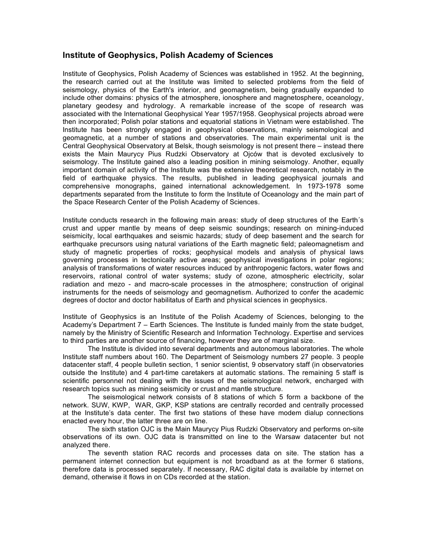## **Institute of Geophysics, Polish Academy of Sciences**

Institute of Geophysics, Polish Academy of Sciences was established in 1952. At the beginning, the research carried out at the Institute was limited to selected problems from the field of seismology, physics of the Earth's interior, and geomagnetism, being gradually expanded to include other domains: physics of the atmosphere, ionosphere and magnetosphere, oceanology, planetary geodesy and hydrology. A remarkable increase of the scope of research was associated with the International Geophysical Year 1957/1958. Geophysical projects abroad were then incorporated; Polish polar stations and equatorial stations in Vietnam were established. The Institute has been strongly engaged in geophysical observations, mainly seismological and geomagnetic, at a number of stations and observatories. The main experimental unit is the Central Geophysical Observatory at Belsk, though seismology is not present there – instead there exists the Main Maurycy Pius Rudzki Observatory at Ojców that is devoted exclusively to seismology. The Institute gained also a leading position in mining seismology. Another, equally important domain of activity of the Institute was the extensive theoretical research, notably in the field of earthquake physics. The results, published in leading geophysical journals and comprehensive monographs, gained international acknowledgement. In 1973-1978 some departments separated from the Institute to form the Institute of Oceanology and the main part of the Space Research Center of the Polish Academy of Sciences.

Institute conducts research in the following main areas: study of deep structures of the Earth´s crust and upper mantle by means of deep seismic soundings; research on mining-induced seismicity, local earthquakes and seismic hazards; study of deep basement and the search for earthquake precursors using natural variations of the Earth magnetic field; paleomagnetism and study of magnetic properties of rocks; geophysical models and analysis of physical laws governing processes in tectonically active areas; geophysical investigations in polar regions; analysis of transformations of water resources induced by anthropogenic factors, water flows and reservoirs, rational control of water systems; study of ozone, atmospheric electricity, solar radiation and mezo - and macro-scale processes in the atmosphere; construction of original instruments for the needs of seismology and geomagnetism. Authorized to confer the academic degrees of doctor and doctor habilitatus of Earth and physical sciences in geophysics.

Institute of Geophysics is an Institute of the Polish Academy of Sciences, belonging to the Academy's Department 7 – Earth Sciences. The Institute is funded mainly from the state budget, namely by the Ministry of Scientific Research and Information Technology. Expertise and services to third parties are another source of financing, however they are of marginal size.

The Institute is divided into several departments and autonomous laboratories. The whole Institute staff numbers about 160. The Department of Seismology numbers 27 people. 3 people datacenter staff, 4 people bulletin section, 1 senior scientist, 9 observatory staff (in observatories outside the Institute) and 4 part-time caretakers at automatic stations. The remaining 5 staff is scientific personnel not dealing with the issues of the seismological network, encharged with research topics such as mining seismicity or crust and mantle structure.

The seismological network consists of 8 stations of which 5 form a backbone of the network. SUW, KWP, WAR, GKP, KSP stations are centrally recorded and centrally processed at the Institute's data center. The first two stations of these have modem dialup connections enacted every hour, the latter three are on line.

The sixth station OJC is the Main Maurycy Pius Rudzki Observatory and performs on-site observations of its own. OJC data is transmitted on line to the Warsaw datacenter but not analyzed there.

The seventh station RAC records and processes data on site. The station has a permanent internet connection but equipment is not broadband as at the former 6 stations, therefore data is processed separately. If necessary, RAC digital data is available by internet on demand, otherwise it flows in on CDs recorded at the station.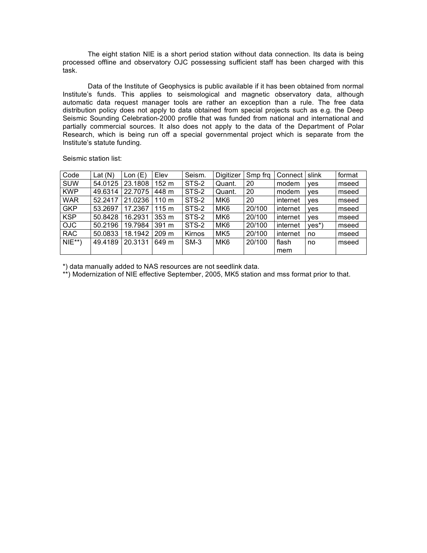The eight station NIE is a short period station without data connection. Its data is being processed offline and observatory OJC possessing sufficient staff has been charged with this task.

Data of the Institute of Geophysics is public available if it has been obtained from normal Institute's funds. This applies to seismological and magnetic observatory data, although automatic data request manager tools are rather an exception than a rule. The free data distribution policy does not apply to data obtained from special projects such as e.g. the Deep Seismic Sounding Celebration-2000 profile that was funded from national and international and partially commercial sources. It also does not apply to the data of the Department of Polar Research, which is being run off a special governmental project which is separate from the Institute's statute funding.

Seismic station list:

| Code       | Lat $(N)$ | Lon(E)  | Elev             | Seism. | Digitizer       | Smp frq | Connect I | slink | format |
|------------|-----------|---------|------------------|--------|-----------------|---------|-----------|-------|--------|
| <b>SUW</b> | 54.0125   | 23.1808 | 152 m            | STS-2  | Quant.          | 20      | modem     | ves   | mseed  |
| <b>KWP</b> | 49.6314   | 22.7075 | 448 m            | STS-2  | Quant.          | 20      | modem     | ves   | mseed  |
| <b>WAR</b> | 52.2417   | 21.0236 | $110 \text{ m}$  | STS-2  | MK <sub>6</sub> | 20      | internet  | ves   | mseed  |
| <b>GKP</b> | 53.2697   | 17.2367 | 115 <sub>m</sub> | STS-2  | MK <sub>6</sub> | 20/100  | internet  | ves   | mseed  |
| <b>KSP</b> | 50.8428   | 16.2931 | 353 m            | STS-2  | MK <sub>6</sub> | 20/100  | internet  | ves   | mseed  |
| <b>OJC</b> | 50.2196   | 19.7984 | 391 m            | STS-2  | MK <sub>6</sub> | 20/100  | internet  | yes*) | mseed  |
| <b>RAC</b> | 50.0833   | 18.1942 | 209 <sub>m</sub> | Kirnos | MK <sub>5</sub> | 20/100  | internet  | no    | mseed  |
| $NIE^{**}$ | 49.4189   | 20.3131 | 649 m            | $SM-3$ | MK <sub>6</sub> | 20/100  | flash     | no    | mseed  |
|            |           |         |                  |        |                 |         | mem       |       |        |

\*) data manually added to NAS resources are not seedlink data.

\*\*) Modernization of NIE effective September, 2005, MK5 station and mss format prior to that.